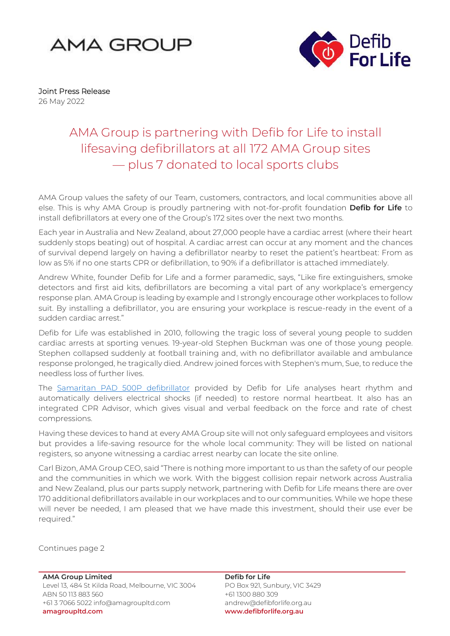



Joint Press Release 26 May 2022

## AMA Group is partnering with Defib for Life to install lifesaving defibrillators at all 172 AMA Group sites — plus 7 donated to local sports clubs

AMA Group values the safety of our Team, customers, contractors, and local communities above all else. This is why AMA Group is proudly partnering with not-for-profit foundation **Defib for Life** to install defibrillators at every one of the Group's 172 sites over the next two months.

Each year in Australia and New Zealand, about 27,000 people have a cardiac arrest (where their heart suddenly stops beating) out of hospital. A cardiac arrest can occur at any moment and the chances of survival depend largely on having a defibrillator nearby to reset the patient's heartbeat: From as low as 5% if no one starts CPR or defibrillation, to 90% if a defibrillator is attached immediately.

Andrew White, founder Defib for Life and a former paramedic, says, "Like fire extinguishers, smoke detectors and first aid kits, defibrillators are becoming a vital part of any workplace's emergency response plan. AMA Group is leading by example and I strongly encourage other workplaces to follow suit. By installing a defibrillator, you are ensuring your workplace is rescue-ready in the event of a sudden cardiac arrest."

Defib for Life was established in 2010, following the tragic loss of several young people to sudden cardiac arrests at sporting venues. 19-year-old Stephen Buckman was one of those young people. Stephen collapsed suddenly at football training and, with no defibrillator available and ambulance response prolonged, he tragically died. Andrew joined forces with Stephen's mum, Sue, to reduce the needless loss of further lives.

The [Samaritan PAD 500P defibrillator](https://uk.heartsine.com/product/heartsine-connected-samaritan-pad-500p/) provided by Defib for Life analyses heart rhythm and automatically delivers electrical shocks (if needed) to restore normal heartbeat. It also has an integrated CPR Advisor, which gives visual and verbal feedback on the force and rate of chest compressions.

Having these devices to hand at every AMA Group site will not only safeguard employees and visitors but provides a life-saving resource for the whole local community: They will be listed on national registers, so anyone witnessing a cardiac arrest nearby can locate the site online.

Carl Bizon, AMA Group CEO, said "There is nothing more important to us than the safety of our people and the communities in which we work. With the biggest collision repair network across Australia and New Zealand, plus our parts supply network, partnering with Defib for Life means there are over 170 additional defibrillators available in our workplaces and to our communities. While we hope these will never be needed, I am pleased that we have made this investment, should their use ever be required."

Continues page 2

**AMA Group Limited** Level 13, 484 St Kilda Road, Melbourne, VIC 3004 ABN 50 113 883 560 +61 3 7066 5022 info@amagroupltd.com **amagroupltd.com**

**Defib for Life** PO Box 921, Sunbury, VIC 3429 +61 1300 880 309 andrew@defibforlife.org.au **www.defibforlife.org.au**